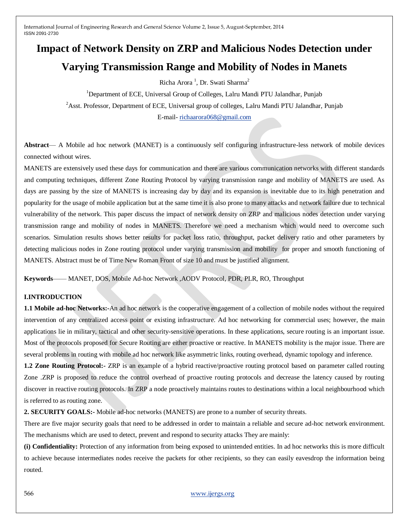# **Impact of Network Density on ZRP and Malicious Nodes Detection under Varying Transmission Range and Mobility of Nodes in Manets**

Richa Arora<sup>1</sup>, Dr. Swati Sharma<sup>2</sup>

<sup>1</sup>Department of ECE, Universal Group of Colleges, Lalru Mandi PTU Jalandhar, Punjab <sup>2</sup>Asst. Professor, Department of ECE, Universal group of colleges, Lalru Mandi PTU Jalandhar, Punjab E-mail- [richaarora068@gmail.com](mailto:richaarora068@gmail.com)

**Abstract**— A Mobile ad hoc network (MANET) is a continuously self configuring infrastructure-less network of mobile devices connected without wires.

MANETS are extensively used these days for communication and there are various communication networks with different standards and computing techniques, different Zone Routing Protocol by varying transmission range and mobility of MANETS are used. As days are passing by the size of MANETS is increasing day by day and its expansion is inevitable due to its high penetration and popularity for the usage of mobile application but at the same time it is also prone to many attacks and network failure due to technical vulnerability of the network. This paper discuss the impact of network density on ZRP and malicious nodes detection under varying transmission range and mobility of nodes in MANETS. Therefore we need a mechanism which would need to overcome such scenarios. Simulation results shows better results for packet loss ratio, throughput, packet delivery ratio and other parameters by detecting malicious nodes in Zone routing protocol under varying transmission and mobility for proper and smooth functioning of MANETS. Abstract must be of Time New Roman Front of size 10 and must be justified alignment.

**Keywords**—— MANET, DOS, Mobile Ad-hoc Network ,AODV Protocol, PDR, PLR, RO, Throughput

# **I.INTRODUCTION**

**1.1 Mobile ad-hoc Networks:-**An ad hoc network is the cooperative engagement of a collection of mobile nodes without the required intervention of any centralized access point or existing infrastructure. Ad hoc networking for commercial uses; however, the main applications lie in military, tactical and other security-sensitive operations. In these applications, secure routing is an important issue. Most of the protocols proposed for Secure Routing are either proactive or reactive. In MANETS mobility is the major issue. There are several problems in routing with mobile ad hoc network like asymmetric links, routing overhead, dynamic topology and inference.

**1.2 Zone Routing Protocol:-** ZRP is an example of a hybrid reactive/proactive routing protocol based on parameter called routing Zone .ZRP is proposed to reduce the control overhead of proactive routing protocols and decrease the latency caused by routing discover in reactive routing protocols. In ZRP a node proactively maintains routes to destinations within a local neighbourhood which is referred to as routing zone.

**2. SECURITY GOALS:-** Mobile ad-hoc networks (MANETS) are prone to a number of security threats.

There are five major security goals that need to be addressed in order to maintain a reliable and secure ad-hoc network environment. The mechanisms which are used to detect, prevent and respond to security attacks They are mainly:

**(i) Confidentiality:** Protection of any information from being exposed to unintended entities. In ad hoc networks this is more difficult to achieve because intermediates nodes receive the packets for other recipients, so they can easily eavesdrop the information being routed.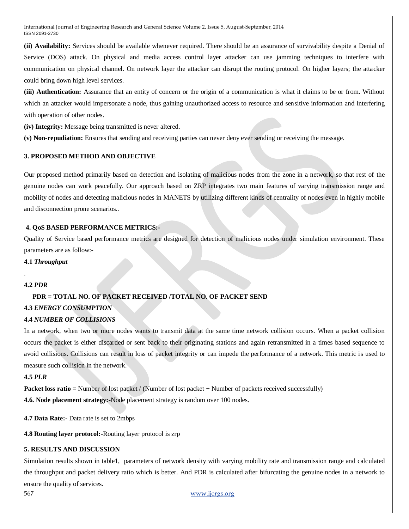**(ii) Availability:** Services should be available whenever required. There should be an assurance of survivability despite a Denial of Service (DOS) attack. On physical and media access control layer attacker can use jamming techniques to interfere with communication on physical channel. On network layer the attacker can disrupt the routing protocol. On higher layers; the attacker could bring down high level services.

**(iii) Authentication:** Assurance that an entity of concern or the origin of a communication is what it claims to be or from. Without which an attacker would impersonate a node, thus gaining unauthorized access to resource and sensitive information and interfering with operation of other nodes.

**(iv) Integrity:** Message being transmitted is never altered.

**(v) Non-repudiation:** Ensures that sending and receiving parties can never deny ever sending or receiving the message.

# **3. PROPOSED METHOD AND OBJECTIVE**

Our proposed method primarily based on detection and isolating of malicious nodes from the zone in a network, so that rest of the genuine nodes can work peacefully. Our approach based on ZRP integrates two main features of varying transmission range and mobility of nodes and detecting malicious nodes in MANETS by utilizing different kinds of centrality of nodes even in highly mobile and disconnection prone scenarios..

# **4. QoS BASED PERFORMANCE METRICS:-**

Quality of Service based performance metrics are designed for detection of malicious nodes under simulation environment. These parameters are as follow:-

#### **4.1** *Throughput*

# **4.2** *PDR*

.

# **PDR = TOTAL NO. OF PACKET RECEIVED /TOTAL NO. OF PACKET SEND**

# **4.3** *ENERGY CONSUMPTION*

# **4.4** *NUMBER OF COLLISIONS*

In a network, when two or more nodes wants to transmit data at the same time network collision occurs. When a packet collision occurs the packet is either discarded or sent back to their originating stations and again retransmitted in a times based sequence to avoid collisions. Collisions can result in loss of packet integrity or can impede the performance of a network. This metric is used to measure such collision in the network.

# **4.5** *PLR*

**Packet loss ratio =** Number of lost packet / (Number of lost packet + Number of packets received successfully)

**4.6. Node placement strategy:-**Node placement strategy is random over 100 nodes.

**4.7 Data Rate:-** Data rate is set to 2mbps

**4.8 Routing layer protocol:-**Routing layer protocol is zrp

# **5. RESULTS AND DISCUSSION**

Simulation results shown in table1, parameters of network density with varying mobility rate and transmission range and calculated the throughput and packet delivery ratio which is better. And PDR is calculated after bifurcating the genuine nodes in a network to ensure the quality of services.

567 [www.ijergs.org](http://www.ijergs.org/)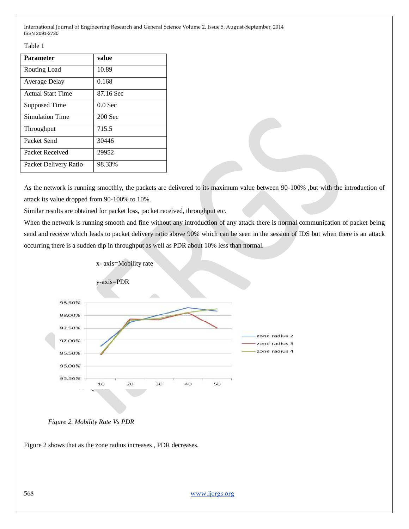Table 1

| <b>Parameter</b>         | value     |
|--------------------------|-----------|
| Routing Load             | 10.89     |
| Average Delay            | 0.168     |
| <b>Actual Start Time</b> | 87.16 Sec |
| Supposed Time            | $0.0$ Sec |
| <b>Simulation Time</b>   | $200$ Sec |
| Throughput               | 715.5     |
| Packet Send              | 30446     |
| Packet Received          | 29952     |
| Packet Delivery Ratio    | 98.33%    |

As the network is running smoothly, the packets are delivered to its maximum value between 90-100% ,but with the introduction of attack its value dropped from 90-100% to 10%.

Similar results are obtained for packet loss, packet received, throughput etc.

When the network is running smooth and fine without any introduction of any attack there is normal communication of packet being send and receive which leads to packet delivery ratio above 90% which can be seen in the session of IDS but when there is an attack occurring there is a sudden dip in throughput as well as PDR about 10% less than normal.



*Figure 2. Mobility Rate Vs PDR*

Figure 2 shows that as the zone radius increases , PDR decreases.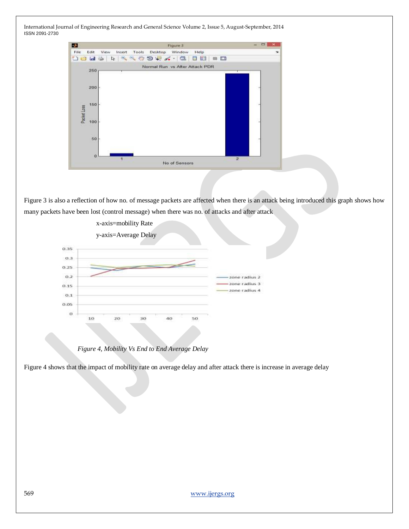| P.                       | Figure 3                                                                                                                                                              | $\qquad \qquad \blacksquare$<br>m |
|--------------------------|-----------------------------------------------------------------------------------------------------------------------------------------------------------------------|-----------------------------------|
| File<br>Edit             | Tools<br>Desktop<br>View<br>Insert<br>Window<br>Help                                                                                                                  | $\rightarrow$                     |
| De<br><b>Legislation</b> | $\mathcal{L}$<br>$\omega_{\rm e}$<br>$\left(\underline{\omega}\right)_{\underline{\omega}}$<br><b>22 BS</b><br>$\bigcirc$ +<br>$ \sqrt{2}$<br>$\Box$<br>ó.<br>জি<br>ು |                                   |
|                          | Normal Run vs After Attack PDR                                                                                                                                        |                                   |
| 250                      |                                                                                                                                                                       |                                   |
|                          |                                                                                                                                                                       |                                   |
| 200                      |                                                                                                                                                                       |                                   |
|                          |                                                                                                                                                                       |                                   |
| 150                      |                                                                                                                                                                       |                                   |
| Packet Loss              |                                                                                                                                                                       |                                   |
| 100                      |                                                                                                                                                                       |                                   |
|                          |                                                                                                                                                                       |                                   |
|                          |                                                                                                                                                                       |                                   |
| 50                       |                                                                                                                                                                       |                                   |
|                          |                                                                                                                                                                       |                                   |
| 0                        | я                                                                                                                                                                     |                                   |
|                          | $\overline{\mathbf{z}}$<br>No of Sensors                                                                                                                              |                                   |

Figure 3 is also a reflection of how no. of message packets are affected when there is an attack being introduced this graph shows how many packets have been lost (control message) when there was no. of attacks and after attack



 *Figure 4, Mobility Vs End to End Average Delay*

Figure 4 shows that the impact of mobility rate on average delay and after attack there is increase in average delay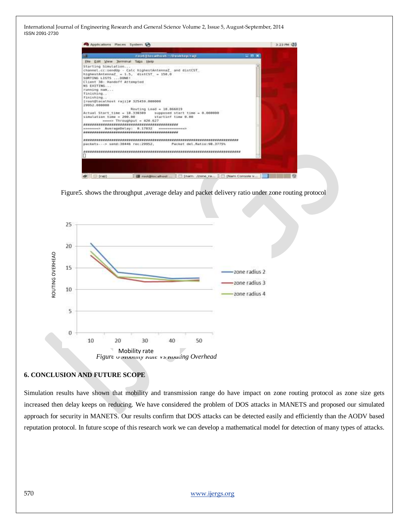

Figure5. shows the throughput ,average delay and packet delivery ratio under zone routing protocol



# **6. CONCLUSION AND FUTURE SCOPE**

Simulation results have shown that mobility and transmission range do have impact on zone routing protocol as zone size gets increased then delay keeps on reducing. We have considered the problem of DOS attacks in MANETS and proposed our simulated approach for security in MANETS. Our results confirm that DOS attacks can be detected easily and efficiently than the AODV based reputation protocol. In future scope of this research work we can develop a mathematical model for detection of many types of attacks.